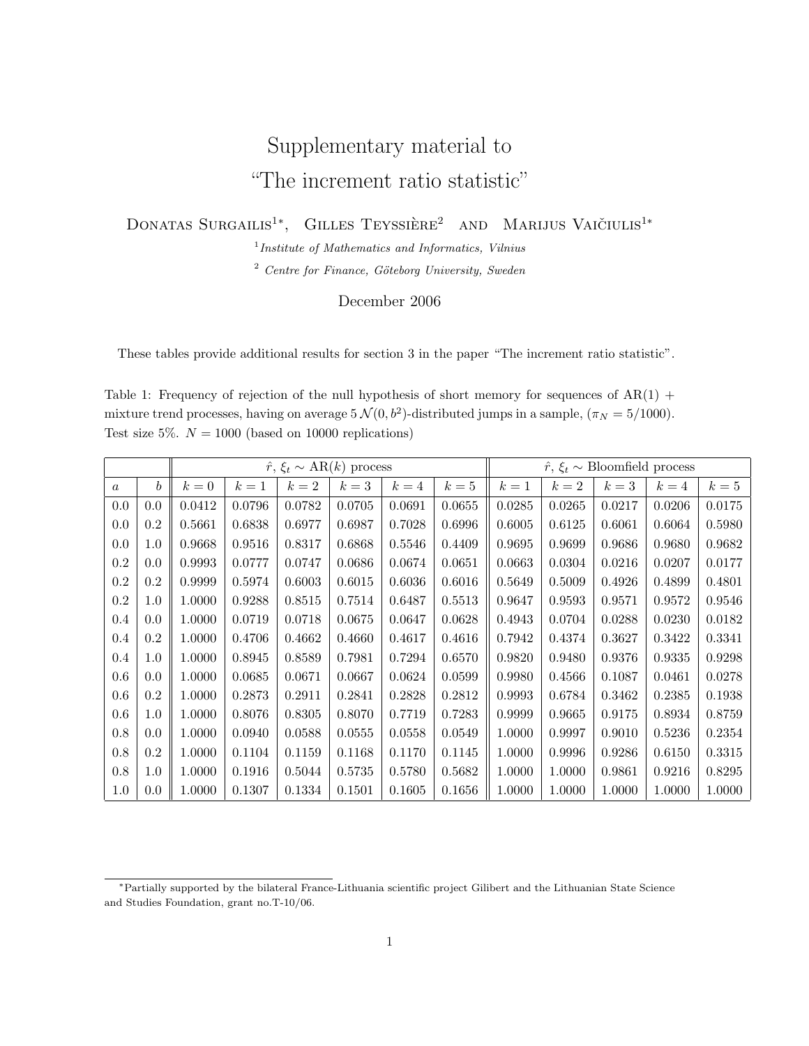## Supplementary material to "The increment ratio statistic"

DONATAS SURGAILIS<sup>1</sup><sup>\*</sup>, GILLES TEYSSIÈRE<sup>2</sup> AND MARIJUS VAIČIULIS<sup>1</sup><sup>\*</sup>

<sup>1</sup> Institute of Mathematics and Informatics, Vilnius

 $2$  Centre for Finance, Göteborg University, Sweden

## December 2006

These tables provide additional results for section 3 in the paper "The increment ratio statistic".

Table 1: Frequency of rejection of the null hypothesis of short memory for sequences of  $AR(1)$  + mixture trend processes, having on average  $5 \mathcal{N}(0, b^2)$ -distributed jumps in a sample,  $(\pi_N = 5/1000)$ . Test size 5%.  $N = 1000$  (based on 10000 replications)

|          |                  |        |        | $\hat{r}, \xi_t \sim AR(k)$ process |        | $\hat{r}, \xi_t \sim \text{Bloomfield process}$ |        |        |        |        |            |        |
|----------|------------------|--------|--------|-------------------------------------|--------|-------------------------------------------------|--------|--------|--------|--------|------------|--------|
| $\alpha$ | $\boldsymbol{b}$ | $k=0$  | $k=1$  | $k=2$                               | $k=3$  | $k=4$                                           | $k=5$  | $k=1$  | $k=2$  | $k=3$  | $k=4$      | $k=5$  |
| 0.0      | 0.0              | 0.0412 | 0.0796 | 0.0782                              | 0.0705 | 0.0691                                          | 0.0655 | 0.0285 | 0.0265 | 0.0217 | 0.0206     | 0.0175 |
| 0.0      | $0.2\,$          | 0.5661 | 0.6838 | 0.6977                              | 0.6987 | 0.7028                                          | 0.6996 | 0.6005 | 0.6125 | 0.6061 | 0.6064     | 0.5980 |
| 0.0      | 1.0              | 0.9668 | 0.9516 | 0.8317                              | 0.6868 | 0.5546                                          | 0.4409 | 0.9695 | 0.9699 | 0.9686 | 0.9680     | 0.9682 |
| 0.2      | 0.0              | 0.9993 | 0.0777 | 0.0747                              | 0.0686 | 0.0674                                          | 0.0651 | 0.0663 | 0.0304 | 0.0216 | 0.0207     | 0.0177 |
| 0.2      | 0.2              | 0.9999 | 0.5974 | 0.6003                              | 0.6015 | 0.6036                                          | 0.6016 | 0.5649 | 0.5009 | 0.4926 | 0.4899     | 0.4801 |
| 0.2      | $1.0\,$          | 1.0000 | 0.9288 | 0.8515                              | 0.7514 | 0.6487                                          | 0.5513 | 0.9647 | 0.9593 | 0.9571 | 0.9572     | 0.9546 |
| 0.4      | 0.0              | 1.0000 | 0.0719 | 0.0718                              | 0.0675 | 0.0647                                          | 0.0628 | 0.4943 | 0.0704 | 0.0288 | 0.0230     | 0.0182 |
| 0.4      | $0.2\,$          | 1.0000 | 0.4706 | 0.4662                              | 0.4660 | 0.4617                                          | 0.4616 | 0.7942 | 0.4374 | 0.3627 | 0.3422     | 0.3341 |
| 0.4      | 1.0              | 1.0000 | 0.8945 | 0.8589                              | 0.7981 | 0.7294                                          | 0.6570 | 0.9820 | 0.9480 | 0.9376 | ${0.9335}$ | 0.9298 |
| 0.6      | 0.0              | 1.0000 | 0.0685 | 0.0671                              | 0.0667 | 0.0624                                          | 0.0599 | 0.9980 | 0.4566 | 0.1087 | 0.0461     | 0.0278 |
| 0.6      | 0.2              | 1.0000 | 0.2873 | 0.2911                              | 0.2841 | 0.2828                                          | 0.2812 | 0.9993 | 0.6784 | 0.3462 | 0.2385     | 0.1938 |
| 0.6      | 1.0              | 1.0000 | 0.8076 | 0.8305                              | 0.8070 | 0.7719                                          | 0.7283 | 0.9999 | 0.9665 | 0.9175 | 0.8934     | 0.8759 |
| 0.8      | 0.0              | 1.0000 | 0.0940 | 0.0588                              | 0.0555 | 0.0558                                          | 0.0549 | 1.0000 | 0.9997 | 0.9010 | 0.5236     | 0.2354 |
| 0.8      | $0.2\,$          | 1.0000 | 0.1104 | 0.1159                              | 0.1168 | 0.1170                                          | 0.1145 | 1.0000 | 0.9996 | 0.9286 | 0.6150     | 0.3315 |
| 0.8      | $1.0\,$          | 1.0000 | 0.1916 | 0.5044                              | 0.5735 | 0.5780                                          | 0.5682 | 1.0000 | 1.0000 | 0.9861 | 0.9216     | 0.8295 |
| 1.0      | 0.0              | 1.0000 | 0.1307 | 0.1334                              | 0.1501 | 0.1605                                          | 0.1656 | 1.0000 | 1.0000 | 1.0000 | 1.0000     | 1.0000 |

<sup>∗</sup>Partially supported by the bilateral France-Lithuania scientific project Gilibert and the Lithuanian State Science and Studies Foundation, grant no.T-10/06.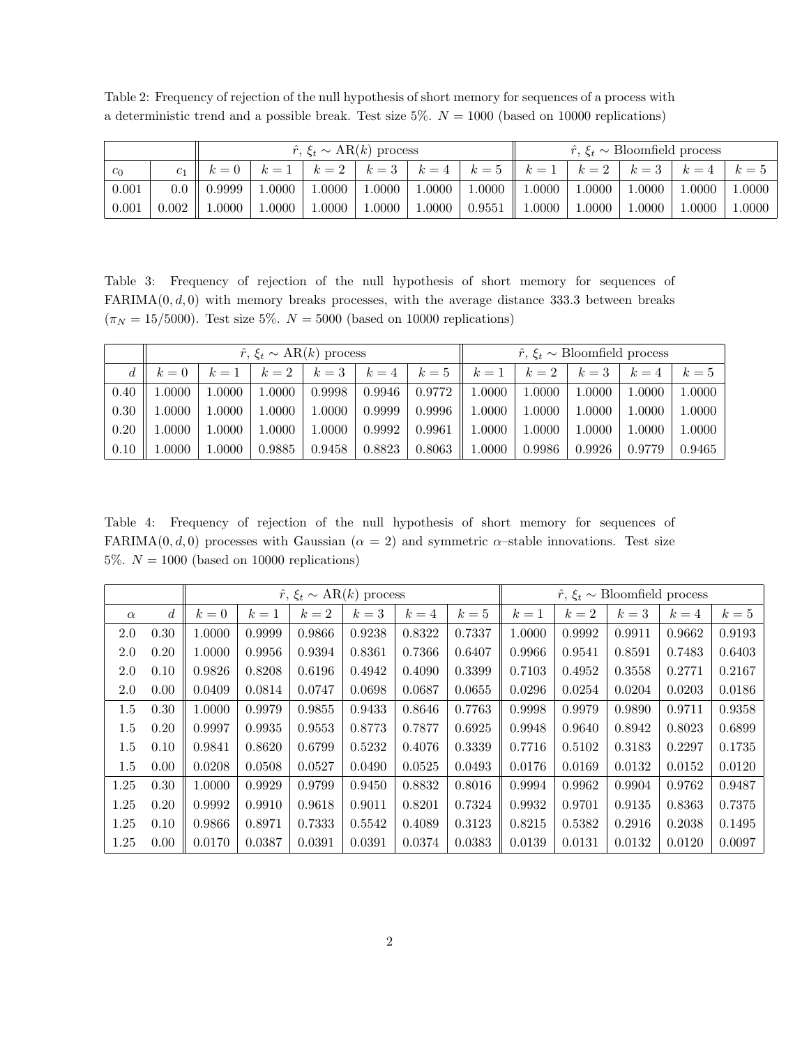Table 2: Frequency of rejection of the null hypothesis of short memory for sequences of a process with a deterministic trend and a possible break. Test size  $5\%$ .  $N = 1000$  (based on 10000 replications)

| $\hat{r}, \xi_t \sim \text{AR}(k)$ process |       |        |        |          |        |            | $\hat{r}, \xi_t \sim \text{Bloomfield process}$ |        |        |        |        |        |
|--------------------------------------------|-------|--------|--------|----------|--------|------------|-------------------------------------------------|--------|--------|--------|--------|--------|
| $c_0$                                      |       |        |        | $k=2$    | $k=3$  | $k=4$      | $k=5$                                           | $k=1$  | $k=2$  | $k=3$  | $k=4$  | $k=5$  |
| 0.001                                      | 0.0   | 0.9999 | 1.0000 | 1.0000   | 1.0000 | 1.0000     | 1.0000                                          | 1.0000 | 1.0000 | 0000.1 | 1.0000 | 1.0000 |
| 0.001                                      | 0.002 | 0000.  | 1.0000 | $0000$ . | 1.0000 | $1.0000\,$ | 0.9551                                          | 1.0000 | 1.0000 | 0000.  | 1.0000 | 1.0000 |

Table 3: Frequency of rejection of the null hypothesis of short memory for sequences of  $FARIMA(0, d, 0)$  with memory breaks processes, with the average distance 333.3 between breaks  $(\pi_N = 15/5000)$ . Test size 5%.  $N = 5000$  (based on 10000 replications)

|      |       |        | $\hat{r}, \xi_t \sim AR(k)$ process |        | $\hat{r}, \xi_t \sim \text{Bloomfield process}$ |        |        |            |        |        |        |
|------|-------|--------|-------------------------------------|--------|-------------------------------------------------|--------|--------|------------|--------|--------|--------|
|      | $k=0$ | $k=1$  | $k=2$                               | $k=3$  | $k=4$                                           | $k=5$  | $k=1$  | $k=2$      | $k=3$  | $k=4$  | $k=5$  |
| 0.40 | .0000 | 1.0000 | 1.0000                              | 0.9998 | 0.9946                                          | 0.9772 | 1.0000 | $1.0000\,$ | 1.0000 | 1.0000 | 1.0000 |
| 0.30 | .0000 | 1.0000 | 1.0000                              | 1.0000 | 0.9999                                          | 0.9996 | 1.0000 | 1.0000     | 1.0000 | 1.0000 | 1.0000 |
| 0.20 | .0000 | 1.0000 | 1.0000                              | 1.0000 | 0.9992                                          | 0.9961 | 1.0000 | 1.0000     | 1.0000 | 1.0000 | 1.0000 |
| 0.10 | .0000 | 1.0000 | 0.9885                              | 0.9458 | 0.8823                                          | 0.8063 | 1.0000 | 0.9986     | 0.9926 | 0.9779 | 0.9465 |

Table 4: Frequency of rejection of the null hypothesis of short memory for sequences of FARIMA $(0, d, 0)$  processes with Gaussian  $(\alpha = 2)$  and symmetric  $\alpha$ -stable innovations. Test size 5%.  $N = 1000$  (based on 10000 replications)

|          |      |        |        | $\hat{r}, \xi_t \sim AR(k)$ process |        | $\hat{r}, \xi_t \sim \text{Bloomfield process}$ |        |        |        |        |        |        |
|----------|------|--------|--------|-------------------------------------|--------|-------------------------------------------------|--------|--------|--------|--------|--------|--------|
| $\alpha$ | d    | $k=0$  | $k=1$  | $k=2$                               | $k=3$  | $k=4$                                           | $k=5$  | $k=1$  | $k=2$  | $k=3$  | $k=4$  | $k=5$  |
| $2.0\,$  | 0.30 | 1.0000 | 0.9999 | 0.9866                              | 0.9238 | 0.8322                                          | 0.7337 | 1.0000 | 0.9992 | 0.9911 | 0.9662 | 0.9193 |
| $2.0\,$  | 0.20 | 1.0000 | 0.9956 | 0.9394                              | 0.8361 | 0.7366                                          | 0.6407 | 0.9966 | 0.9541 | 0.8591 | 0.7483 | 0.6403 |
| $2.0\,$  | 0.10 | 0.9826 | 0.8208 | 0.6196                              | 0.4942 | 0.4090                                          | 0.3399 | 0.7103 | 0.4952 | 0.3558 | 0.2771 | 0.2167 |
| $2.0\,$  | 0.00 | 0.0409 | 0.0814 | 0.0747                              | 0.0698 | 0.0687                                          | 0.0655 | 0.0296 | 0.0254 | 0.0204 | 0.0203 | 0.0186 |
| $1.5\,$  | 0.30 | 1.0000 | 0.9979 | 0.9855                              | 0.9433 | 0.8646                                          | 0.7763 | 0.9998 | 0.9979 | 0.9890 | 0.9711 | 0.9358 |
| $1.5\,$  | 0.20 | 0.9997 | 0.9935 | 0.9553                              | 0.8773 | 0.7877                                          | 0.6925 | 0.9948 | 0.9640 | 0.8942 | 0.8023 | 0.6899 |
| $1.5\,$  | 0.10 | 0.9841 | 0.8620 | 0.6799                              | 0.5232 | 0.4076                                          | 0.3339 | 0.7716 | 0.5102 | 0.3183 | 0.2297 | 0.1735 |
| $1.5\,$  | 0.00 | 0.0208 | 0.0508 | 0.0527                              | 0.0490 | 0.0525                                          | 0.0493 | 0.0176 | 0.0169 | 0.0132 | 0.0152 | 0.0120 |
| 1.25     | 0.30 | 1.0000 | 0.9929 | 0.9799                              | 0.9450 | 0.8832                                          | 0.8016 | 0.9994 | 0.9962 | 0.9904 | 0.9762 | 0.9487 |
| 1.25     | 0.20 | 0.9992 | 0.9910 | 0.9618                              | 0.9011 | 0.8201                                          | 0.7324 | 0.9932 | 0.9701 | 0.9135 | 0.8363 | 0.7375 |
| 1.25     | 0.10 | 0.9866 | 0.8971 | 0.7333                              | 0.5542 | 0.4089                                          | 0.3123 | 0.8215 | 0.5382 | 0.2916 | 0.2038 | 0.1495 |
| 1.25     | 0.00 | 0.0170 | 0.0387 | 0.0391                              | 0.0391 | 0.0374                                          | 0.0383 | 0.0139 | 0.0131 | 0.0132 | 0.0120 | 0.0097 |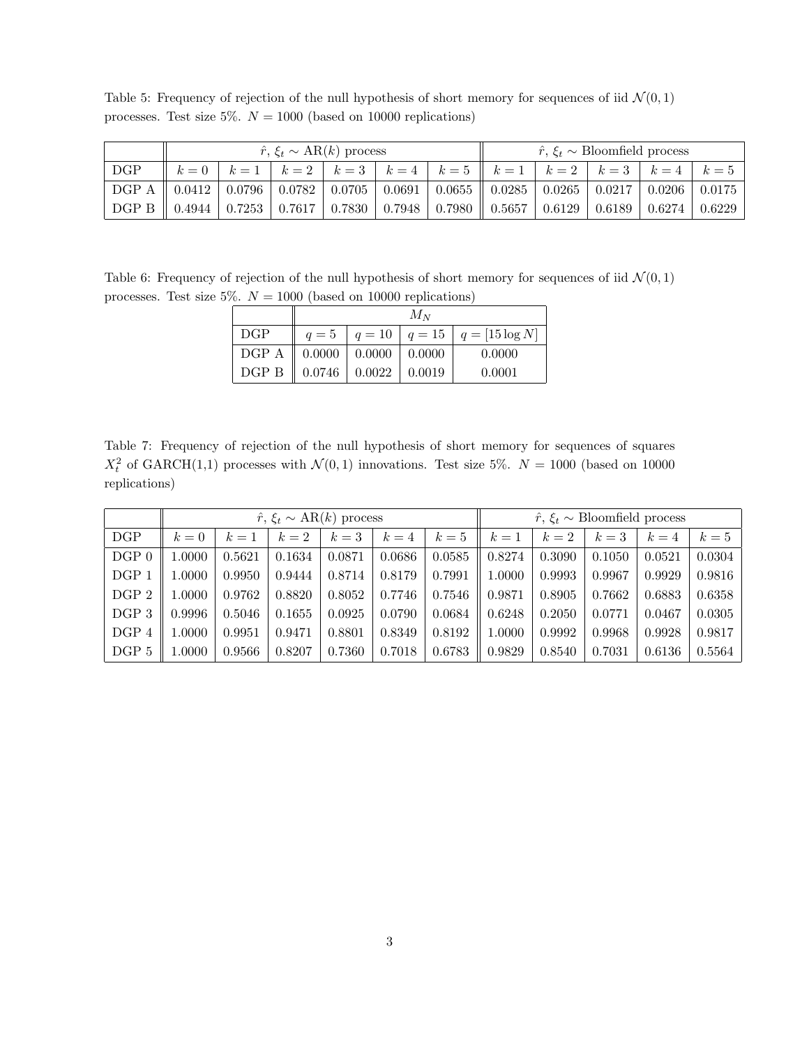|                                                                                                                                                                                       |  | $\hat{r}, \xi_t \sim AR(k)$ process |  |                                                                   | $\hat{r}, \xi_t \sim \text{Bloomfield process}$ |  |  |
|---------------------------------------------------------------------------------------------------------------------------------------------------------------------------------------|--|-------------------------------------|--|-------------------------------------------------------------------|-------------------------------------------------|--|--|
| DGP                                                                                                                                                                                   |  |                                     |  | $k=0$ $k=1$ $k=2$ $k=3$ $k=4$ $k=5$ $k=1$ $k=2$ $k=3$ $k=4$ $k=5$ |                                                 |  |  |
| $\mid$ DGP A $\mid$ 0.0412 $\mid$ 0.0796 $\mid$ 0.0782 $\mid$ 0.0705 $\mid$ 0.0691 $\mid$ 0.0655 $\mid$ 0.0285 $\mid$ 0.0265 $\mid$ 0.0217 $\mid$ 0.0206 $\mid$ 0.0175                |  |                                     |  |                                                                   |                                                 |  |  |
| $\parallel$ DGP B $\parallel$ 0.4944 $\mid$ 0.7253 $\mid$ 0.7617 $\mid$ 0.7830 $\mid$ 0.7948 $\mid$ 0.7980 $\parallel$ 0.5657 $\mid$ 0.6129 $\mid$ 0.6189 $\mid$ 0.6274 $\mid$ 0.6229 |  |                                     |  |                                                                   |                                                 |  |  |

Table 5: Frequency of rejection of the null hypothesis of short memory for sequences of iid  $\mathcal{N}(0,1)$ processes. Test size 5%.  $N = 1000$  (based on 10000 replications)

Table 6: Frequency of rejection of the null hypothesis of short memory for sequences of iid  $\mathcal{N}(0,1)$ processes. Test size 5%.  $N = 1000$  (based on 10000 replications)

|                                                                | $M_N$ |  |  |                                                      |  |  |  |  |  |  |
|----------------------------------------------------------------|-------|--|--|------------------------------------------------------|--|--|--|--|--|--|
| DGP                                                            |       |  |  | $q = 5 \mid q = 10 \mid q = 15 \mid q = [15 \log N]$ |  |  |  |  |  |  |
| DGP A $\parallel$ 0.0000 $\parallel$ 0.0000 $\parallel$ 0.0000 |       |  |  | 0.0000                                               |  |  |  |  |  |  |
| DGP B $\parallel$ 0.0746 $\parallel$ 0.0022 $\parallel$ 0.0019 |       |  |  | 0.0001                                               |  |  |  |  |  |  |

Table 7: Frequency of rejection of the null hypothesis of short memory for sequences of squares  $X_t^2$  of GARCH(1,1) processes with  $\mathcal{N}(0,1)$  innovations. Test size 5%.  $N = 1000$  (based on 10000 replications)

|         |        |        |        | $\hat{r}, \xi_t \sim \text{AR}(k)$ process | $\hat{r}, \xi_t \sim \text{Bloomfield process}$ |        |        |        |        |        |        |
|---------|--------|--------|--------|--------------------------------------------|-------------------------------------------------|--------|--------|--------|--------|--------|--------|
| DGP     | $k=0$  | $k=1$  | $k=2$  | $k=3$                                      | $k=4$                                           | $k=5$  | $k=1$  | $k=2$  | $k=3$  | $k=4$  | $k=5$  |
| $DGP$ 0 | 1.0000 | 0.5621 | 0.1634 | 0.0871                                     | 0.0686                                          | 0.0585 | 0.8274 | 0.3090 | 0.1050 | 0.0521 | 0.0304 |
| DGP 1   | 1.0000 | 0.9950 | 0.9444 | 0.8714                                     | 0.8179                                          | 0.7991 | 1.0000 | 0.9993 | 0.9967 | 0.9929 | 0.9816 |
| DGP 2   | 1.0000 | 0.9762 | 0.8820 | 0.8052                                     | 0.7746                                          | 0.7546 | 0.9871 | 0.8905 | 0.7662 | 0.6883 | 0.6358 |
| DGP 3   | 0.9996 | 0.5046 | 0.1655 | 0.0925                                     | 0.0790                                          | 0.0684 | 0.6248 | 0.2050 | 0.0771 | 0.0467 | 0.0305 |
| DGP 4   | 1.0000 | 0.9951 | 0.9471 | 0.8801                                     | 0.8349                                          | 0.8192 | 1.0000 | 0.9992 | 0.9968 | 0.9928 | 0.9817 |
| DGP 5   | 1.0000 | 0.9566 | 0.8207 | 0.7360                                     | 0.7018                                          | 0.6783 | 0.9829 | 0.8540 | 0.7031 | 0.6136 | 0.5564 |